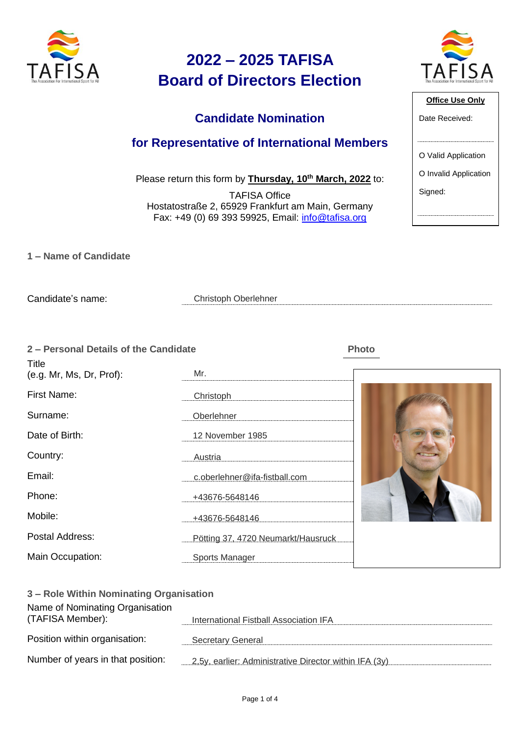

#### **Candidate Nomination**

#### **for Representative of International Members**

Please return this form by **Thursday, 10th March, 2022** to:

TAFISA Office Hostatostraße 2, 65929 Frankfurt am Main, Germany Fax: +49 (0) 69 393 59925, Email: [info@tafisa.org](mailto:info@tafisa.net)

**1 – Name of Candidate**

Candidate's name:

Christoph Oberlehner

**2 – Personal Details of the Candidate Photo**

| <b>Title</b>             |                                    |  |
|--------------------------|------------------------------------|--|
| (e.g. Mr, Ms, Dr, Prof): | Mr.                                |  |
| First Name:              | Christoph                          |  |
| Surname:                 | Oberlehner                         |  |
| Date of Birth:           | 12 November 1985                   |  |
| Country:                 | Austria                            |  |
| Email:                   | c.oberlehner@ifa-fistball.com      |  |
| Phone:                   | +43676-5648146                     |  |
| Mobile:                  | +43676-5648146                     |  |
| Postal Address:          | Pötting 37, 4720 Neumarkt/Hausruck |  |
| Main Occupation:         | Sports Manager                     |  |

| 3 – Role Within Nominating Organisation             |                                                        |  |  |
|-----------------------------------------------------|--------------------------------------------------------|--|--|
| Name of Nominating Organisation<br>(TAFISA Member): | International Fistball Association IFA                 |  |  |
| Position within organisation:                       | <b>Secretary General</b>                               |  |  |
| Number of years in that position:                   | 2,5y, earlier: Administrative Director within IFA (3y) |  |  |



| <b>Office Use Only</b> |
|------------------------|
| Date Received:         |
|                        |
|                        |
| O Valid Application    |
| O Invalid Application  |
| Signed:                |
|                        |
|                        |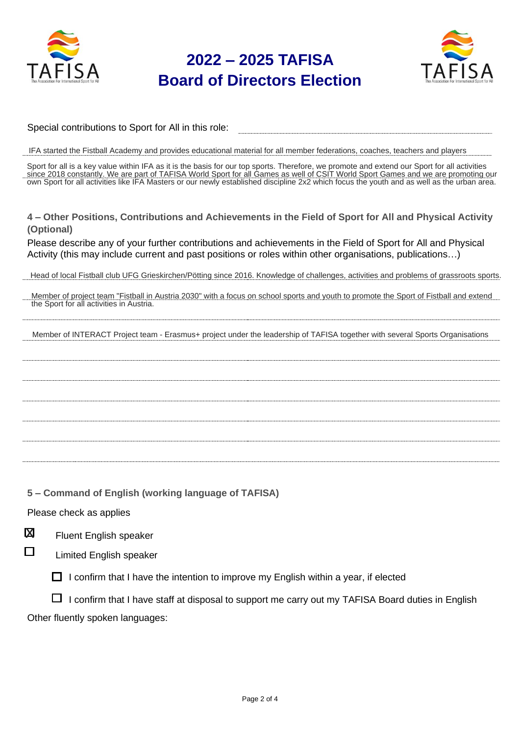



| Special contributions to Sport for All in this role: |  |
|------------------------------------------------------|--|
|                                                      |  |

IFA started the Fistball Academy and provides educational material for all member federations, coaches, teachers and players

Sport for all is a key value within IFA as it is the basis for our top sports. Therefore, we promote and extend our Sport for all activities since 2018 constantly. We are part of TAFISA World Sport for all Games as well of CSIT World Sport Games and we are promoting our own Sport for all activities like IFA Masters or our newly established discipline 2x2 which focus the youth and as well as the urban area.

**4 – Other Positions, Contributions and Achievements in the Field of Sport for All and Physical Activity (Optional)**

Please describe any of your further contributions and achievements in the Field of Sport for All and Physical Activity (this may include current and past positions or roles within other organisations, publications…)

Head of local Fistball club UFG Grieskirchen/Pötting since 2016. Knowledge of challenges, activities and problems of grassroots sports.

Member of project team "Fistball in Austria 2030" with a focus on school sports and youth to promote the Sport of Fistball and extend the Sport for all activities in Austria.

Member of INTERACT Project team - Erasmus+ project under the leadership of TAFISA together with several Sports Organisations

**5 – Command of English (working language of TAFISA)**

Please check as applies

Fluent English speaker  $\overline{\mathbf{M}}$ 

П

Limited English speaker

 $\Box$  I confirm that I have the intention to improve my English within a year, if elected

 $\Box$  I confirm that I have staff at disposal to support me carry out my TAFISA Board duties in English Other fluently spoken languages: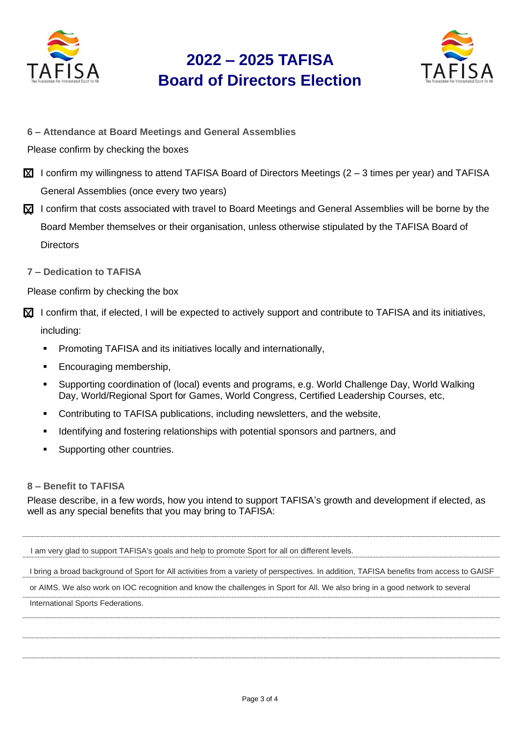



- **6 – Attendance at Board Meetings and General Assemblies**
- Please confirm by checking the boxes
- $\boxtimes$  I confirm my willingness to attend TAFISA Board of Directors Meetings (2 3 times per year) and TAFISA General Assemblies (once every two years)
- $\gtrapprox$  I confirm that costs associated with travel to Board Meetings and General Assemblies will be borne by the Board Member themselves or their organisation, unless otherwise stipulated by the TAFISA Board of **Directors**
- **7 – Dedication to TAFISA**

Please confirm by checking the box

- $\boxtimes$  I confirm that, if elected, I will be expected to actively support and contribute to TAFISA and its initiatives, including:
	- **•** Promoting TAFISA and its initiatives locally and internationally,
	- Encouraging membership,
	- Supporting coordination of (local) events and programs, e.g. World Challenge Day, World Walking Day, World/Regional Sport for Games, World Congress, Certified Leadership Courses, etc,
	- Contributing to TAFISA publications, including newsletters, and the website,
	- Identifying and fostering relationships with potential sponsors and partners, and
	- Supporting other countries.

#### **8 – Benefit to TAFISA**

Please describe, in a few words, how you intend to support TAFISA's growth and development if elected, as well as any special benefits that you may bring to TAFISA:

I am very glad to support TAFISA's goals and help to promote Sport for all on different levels.

I bring a broad background of Sport for All activities from a variety of perspectives. In addition, TAFISA benefits from access to GAISF

or AIMS. We also work on IOC recognition and know the challenges in Sport for All. We also bring in a good network to several

International Sports Federations.